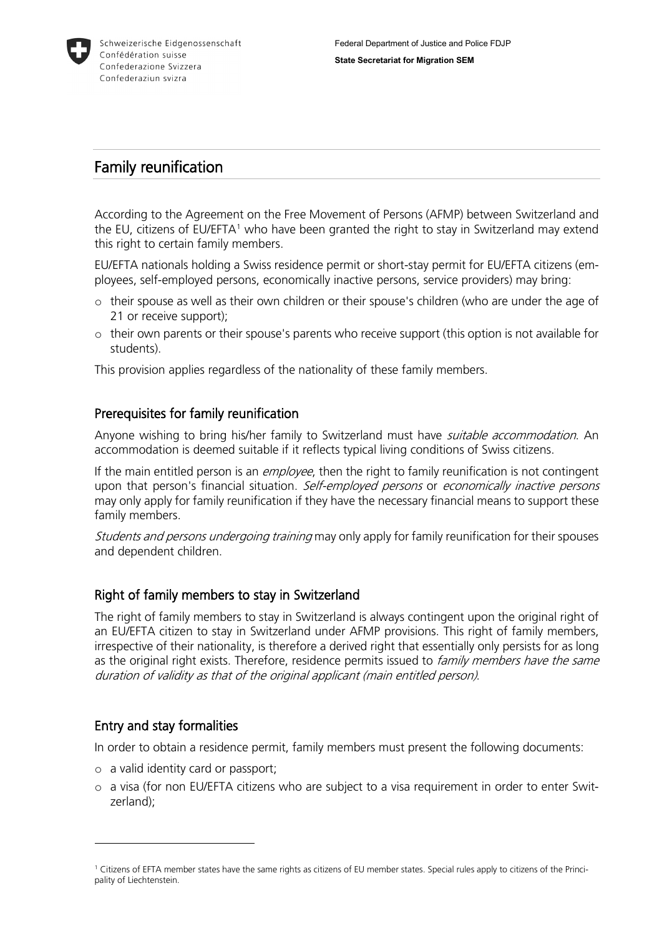

# Family reunification

According to the Agreement on the Free Movement of Persons (AFMP) between Switzerland and the EU, citizens of EU/EFTA<sup>[1](#page-0-0)</sup> who have been granted the right to stay in Switzerland may extend this right to certain family members.

EU/EFTA nationals holding a Swiss residence permit or short-stay permit for EU/EFTA citizens (employees, self-employed persons, economically inactive persons, service providers) may bring:

- o their spouse as well as their own children or their spouse's children (who are under the age of 21 or receive support);
- o their own parents or their spouse's parents who receive support (this option is not available for students).

This provision applies regardless of the nationality of these family members.

## Prerequisites for family reunification

Anyone wishing to bring his/her family to Switzerland must have *suitable accommodation*. An accommodation is deemed suitable if it reflects typical living conditions of Swiss citizens.

If the main entitled person is an *employee*, then the right to family reunification is not contingent upon that person's financial situation. Self-employed persons or economically inactive persons may only apply for family reunification if they have the necessary financial means to support these family members.

Students and persons undergoing training may only apply for family reunification for their spouses and dependent children.

## Right of family members to stay in Switzerland

The right of family members to stay in Switzerland is always contingent upon the original right of an EU/EFTA citizen to stay in Switzerland under AFMP provisions. This right of family members, irrespective of their nationality, is therefore a derived right that essentially only persists for as long as the original right exists. Therefore, residence permits issued to family members have the same duration of validity as that of the original applicant (main entitled person).

## Entry and stay formalities

<u>.</u>

In order to obtain a residence permit, family members must present the following documents:

- o a valid identity card or passport;
- o a visa (for non EU/EFTA citizens who are subject to a visa requirement in order to enter Switzerland);

<span id="page-0-0"></span><sup>1</sup> Citizens of EFTA member states have the same rights as citizens of EU member states. Special rules apply to citizens of the Principality of Liechtenstein.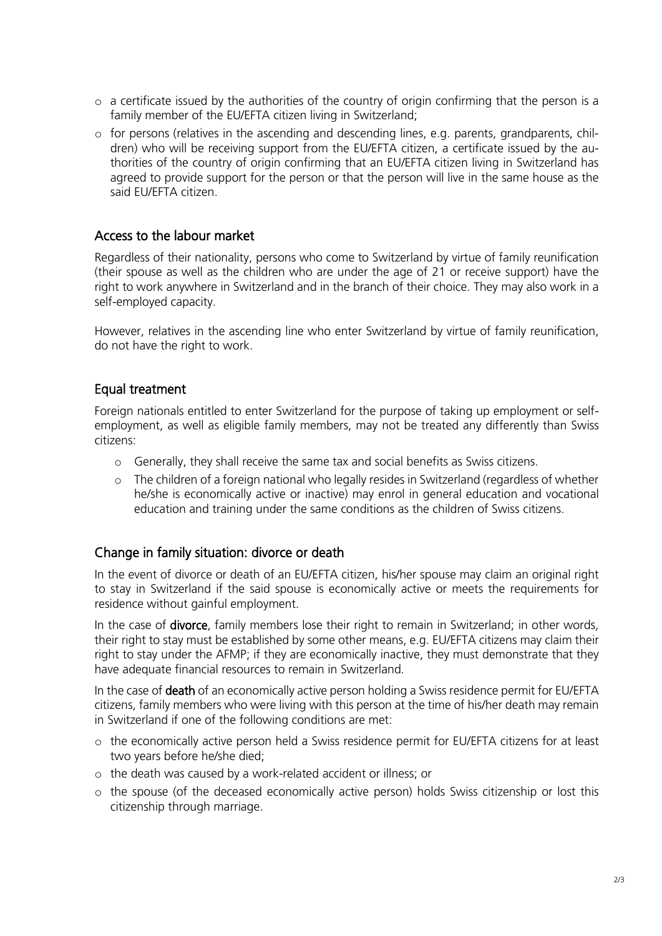- o a certificate issued by the authorities of the country of origin confirming that the person is a family member of the EU/EFTA citizen living in Switzerland;
- o for persons (relatives in the ascending and descending lines, e.g. parents, grandparents, children) who will be receiving support from the EU/EFTA citizen, a certificate issued by the authorities of the country of origin confirming that an EU/EFTA citizen living in Switzerland has agreed to provide support for the person or that the person will live in the same house as the said EU/EFTA citizen.

### Access to the labour market

Regardless of their nationality, persons who come to Switzerland by virtue of family reunification (their spouse as well as the children who are under the age of 21 or receive support) have the right to work anywhere in Switzerland and in the branch of their choice. They may also work in a self-employed capacity.

However, relatives in the ascending line who enter Switzerland by virtue of family reunification, do not have the right to work.

### Equal treatment

Foreign nationals entitled to enter Switzerland for the purpose of taking up employment or selfemployment, as well as eligible family members, may not be treated any differently than Swiss citizens:

- o Generally, they shall receive the same tax and social benefits as Swiss citizens.
- o The children of a foreign national who legally resides in Switzerland (regardless of whether he/she is economically active or inactive) may enrol in general education and vocational education and training under the same conditions as the children of Swiss citizens.

#### Change in family situation: divorce or death

In the event of divorce or death of an EU/EFTA citizen, his/her spouse may claim an original right to stay in Switzerland if the said spouse is economically active or meets the requirements for residence without gainful employment.

In the case of **divorce**, family members lose their right to remain in Switzerland; in other words, their right to stay must be established by some other means, e.g. EU/EFTA citizens may claim their right to stay under the AFMP; if they are economically inactive, they must demonstrate that they have adequate financial resources to remain in Switzerland.

In the case of **death** of an economically active person holding a Swiss residence permit for EU/EFTA citizens, family members who were living with this person at the time of his/her death may remain in Switzerland if one of the following conditions are met:

- o the economically active person held a Swiss residence permit for EU/EFTA citizens for at least two years before he/she died;
- o the death was caused by a work-related accident or illness; or
- o the spouse (of the deceased economically active person) holds Swiss citizenship or lost this citizenship through marriage.